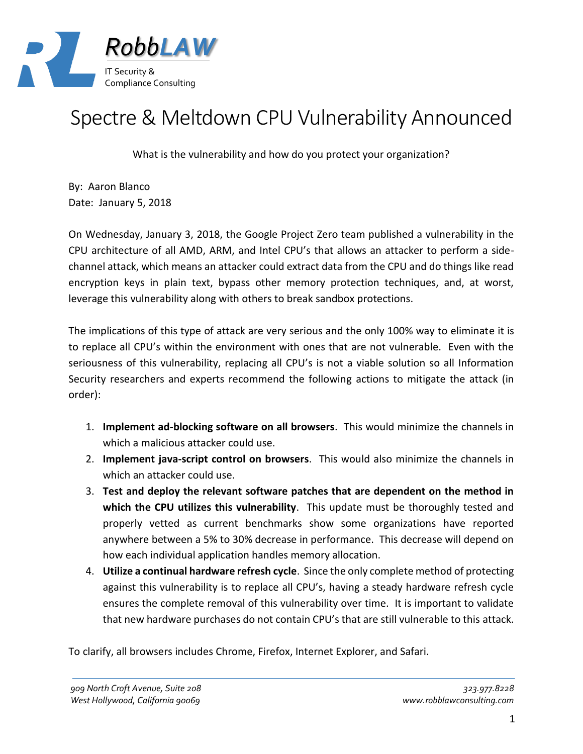

## Spectre & Meltdown CPU Vulnerability Announced

What is the vulnerability and how do you protect your organization?

By: Aaron Blanco Date: January 5, 2018

On Wednesday, January 3, 2018, the Google Project Zero team published a vulnerability in the CPU architecture of all AMD, ARM, and Intel CPU's that allows an attacker to perform a sidechannel attack, which means an attacker could extract data from the CPU and do things like read encryption keys in plain text, bypass other memory protection techniques, and, at worst, leverage this vulnerability along with others to break sandbox protections.

The implications of this type of attack are very serious and the only 100% way to eliminate it is to replace all CPU's within the environment with ones that are not vulnerable. Even with the seriousness of this vulnerability, replacing all CPU's is not a viable solution so all Information Security researchers and experts recommend the following actions to mitigate the attack (in order):

- 1. **Implement ad-blocking software on all browsers**. This would minimize the channels in which a malicious attacker could use.
- 2. **Implement java-script control on browsers**. This would also minimize the channels in which an attacker could use.
- 3. **Test and deploy the relevant software patches that are dependent on the method in which the CPU utilizes this vulnerability**. This update must be thoroughly tested and properly vetted as current benchmarks show some organizations have reported anywhere between a 5% to 30% decrease in performance. This decrease will depend on how each individual application handles memory allocation.
- 4. **Utilize a continual hardware refresh cycle**. Since the only complete method of protecting against this vulnerability is to replace all CPU's, having a steady hardware refresh cycle ensures the complete removal of this vulnerability over time. It is important to validate that new hardware purchases do not contain CPU's that are still vulnerable to this attack.

To clarify, all browsers includes Chrome, Firefox, Internet Explorer, and Safari.